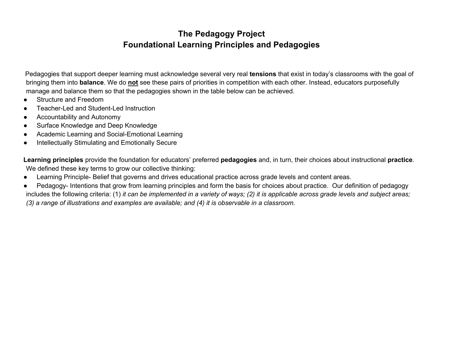## **The Pedagogy Project Foundational Learning Principles and Pedagogies**

Pedagogies that support deeper learning must acknowledge several very real **tensions** that exist in today's classrooms with the goal of bringing them into **balance**. We do **not** see these pairs of priorities in competition with each other. Instead, educators purposefully manage and balance them so that the pedagogies shown in the table below can be achieved.

- Structure and Freedom
- Teacher-Led and Student-Led Instruction
- Accountability and Autonomy
- Surface Knowledge and Deep Knowledge
- Academic Learning and Social-Emotional Learning
- Intellectually Stimulating and Emotionally Secure

**Learning principles** provide the foundation for educators' preferred **pedagogies** and, in turn, their choices about instructional **practice**. We defined these key terms to grow our collective thinking:

- Learning Principle- Belief that governs and drives educational practice across grade levels and content areas.
- Pedagogy- Intentions that grow from learning principles and form the basis for choices about practice. Our definition of pedagogy includes the following criteria: (1) *it can be implemented in a variety of ways; (2) it is applicable across grade levels and subject areas; (3) a range of illustrations and examples are available; and (4) it is observable in a classroom.*